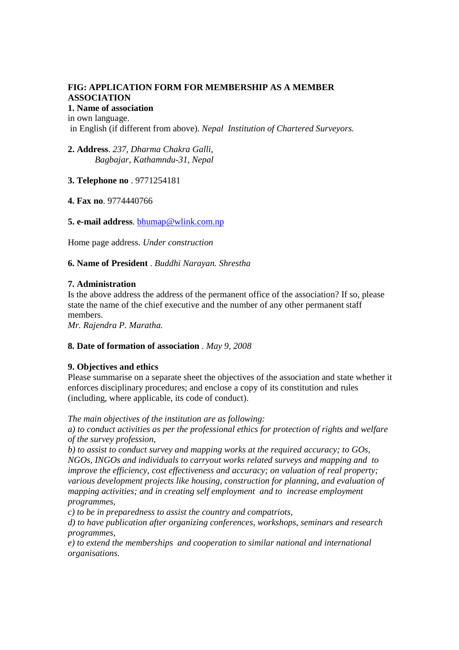# **FIG: APPLICATION FORM FOR MEMBERSHIP AS A MEMBER ASSOCIATION**

# **1. Name of association**

in own language. in English (if different from above). *Nepal Institution of Chartered Surveyors.* 

**2. Address**. *237, Dharma Chakra Galli, Bagbajar, Kathamndu-31, Nepal* 

**3. Telephone no** . 9771254181

**4. Fax no**. 9774440766

**5. e-mail address**. bhumap@wlink.com.np

Home page address. *Under construction* 

**6. Name of President** . *Buddhi Narayan. Shrestha* 

# **7. Administration**

Is the above address the address of the permanent office of the association? If so, please state the name of the chief executive and the number of any other permanent staff members.

*Mr. Rajendra P. Maratha.* 

# **8. Date of formation of association** . *May 9, 2008*

# **9. Objectives and ethics**

Please summarise on a separate sheet the objectives of the association and state whether it enforces disciplinary procedures; and enclose a copy of its constitution and rules (including, where applicable, its code of conduct).

*The main objectives of the institution are as following:* 

*a) to conduct activities as per the professional ethics for protection of rights and welfare of the survey profession,* 

*b) to assist to conduct survey and mapping works at the required accuracy; to GOs, NGOs, INGOs and individuals to carryout works related surveys and mapping and to improve the efficiency, cost effectiveness and accuracy; on valuation of real property; various development projects like housing, construction for planning, and evaluation of mapping activities; and in creating self employment and to increase employment programmes,* 

*c) to be in preparedness to assist the country and compatriots,* 

*d) to have publication after organizing conferences, workshops, seminars and research programmes,* 

*e) to extend the memberships and cooperation to similar national and international organisations.*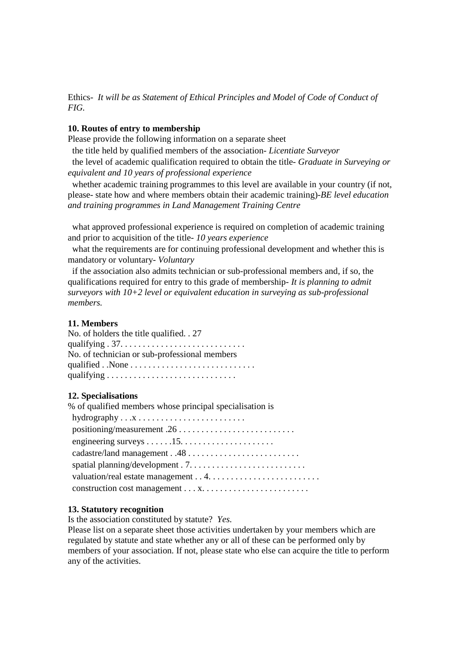Ethics- *It will be as Statement of Ethical Principles and Model of Code of Conduct of FIG.* 

#### **10. Routes of entry to membership**

Please provide the following information on a separate sheet

the title held by qualified members of the association- *Licentiate Surveyor*

the level of academic qualification required to obtain the title- *Graduate in Surveying or equivalent and 10 years of professional experience* 

whether academic training programmes to this level are available in your country (if not, please- state how and where members obtain their academic training)-*BE level education and training programmes in Land Management Training Centre* 

what approved professional experience is required on completion of academic training and prior to acquisition of the title- *10 years experience* 

what the requirements are for continuing professional development and whether this is mandatory or voluntary- *Voluntary* 

if the association also admits technician or sub-professional members and, if so, the qualifications required for entry to this grade of membership- *It is planning to admit surveyors with 10+2 level or equivalent education in surveying as sub-professional members.* 

### **11. Members**

No. of holders the title qualified. . 27 qualifying . 37. . . . . . . . . . . . . . . . . . . . . . . . . . . . No. of technician or sub-professional members qualified . .None . . . . . . . . . . . . . . . . . . . . . . . . . . . . qualifying . . . . . . . . . . . . . . . . . . . . . . . . . . . . .

#### **12. Specialisations**

| % of qualified members whose principal specialisation is                 |
|--------------------------------------------------------------------------|
|                                                                          |
|                                                                          |
| engineering surveys $\dots \dots 15 \dots \dots \dots \dots \dots \dots$ |
|                                                                          |
|                                                                          |
|                                                                          |
|                                                                          |

#### **13. Statutory recognition**

Is the association constituted by statute? *Yes.* 

Please list on a separate sheet those activities undertaken by your members which are regulated by statute and state whether any or all of these can be performed only by members of your association. If not, please state who else can acquire the title to perform any of the activities.